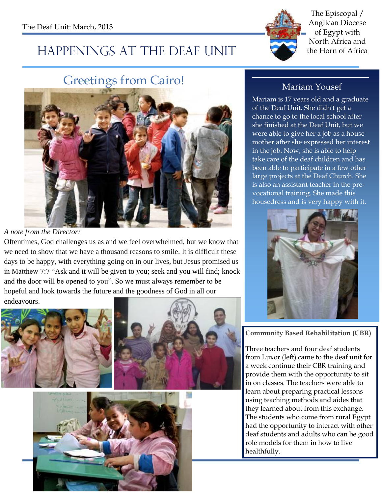

The Episcopal / Anglican Diocese of Egypt with North Africa and

# HAPPENINGS AT THE DEAF UNIT the Horn of Africa

# Greetings from Cairo!<br>Mariam Yousef



*A note from the Director:*

Oftentimes, God challenges us as and we feel overwhelmed, but we know that we need to show that we have a thousand reasons to smile. It is difficult these days to be happy, with everything going on in our lives, but Jesus promised us in Matthew 7:7 "Ask and it will be given to you; seek and you will find; knock and the door will be opened to you". So we must always remember to be hopeful and look towards the future and the goodness of God in all our





Mariam is 17 years old and a graduate of the Deaf Unit. She didn't get a chance to go to the local school after she finished at the Deaf Unit, but we were able to give her a job as a house mother after she expressed her interest in the job. Now, she is able to help take care of the deaf children and has been able to participate in a few other large projects at the Deaf Church. She is also an assistant teacher in the prevocational training. She made this housedress and is very happy with it.



**Community Based Rehabilitation (CBR)**

Three teachers and four deaf students from Luxor (left) came to the deaf unit for a week continue their CBR training and provide them with the opportunity to sit in on classes. The teachers were able to learn about preparing practical lessons using teaching methods and aides that they learned about from this exchange. The students who come from rural Egypt had the opportunity to interact with other deaf students and adults who can be good role models for them in how to live healthfully.